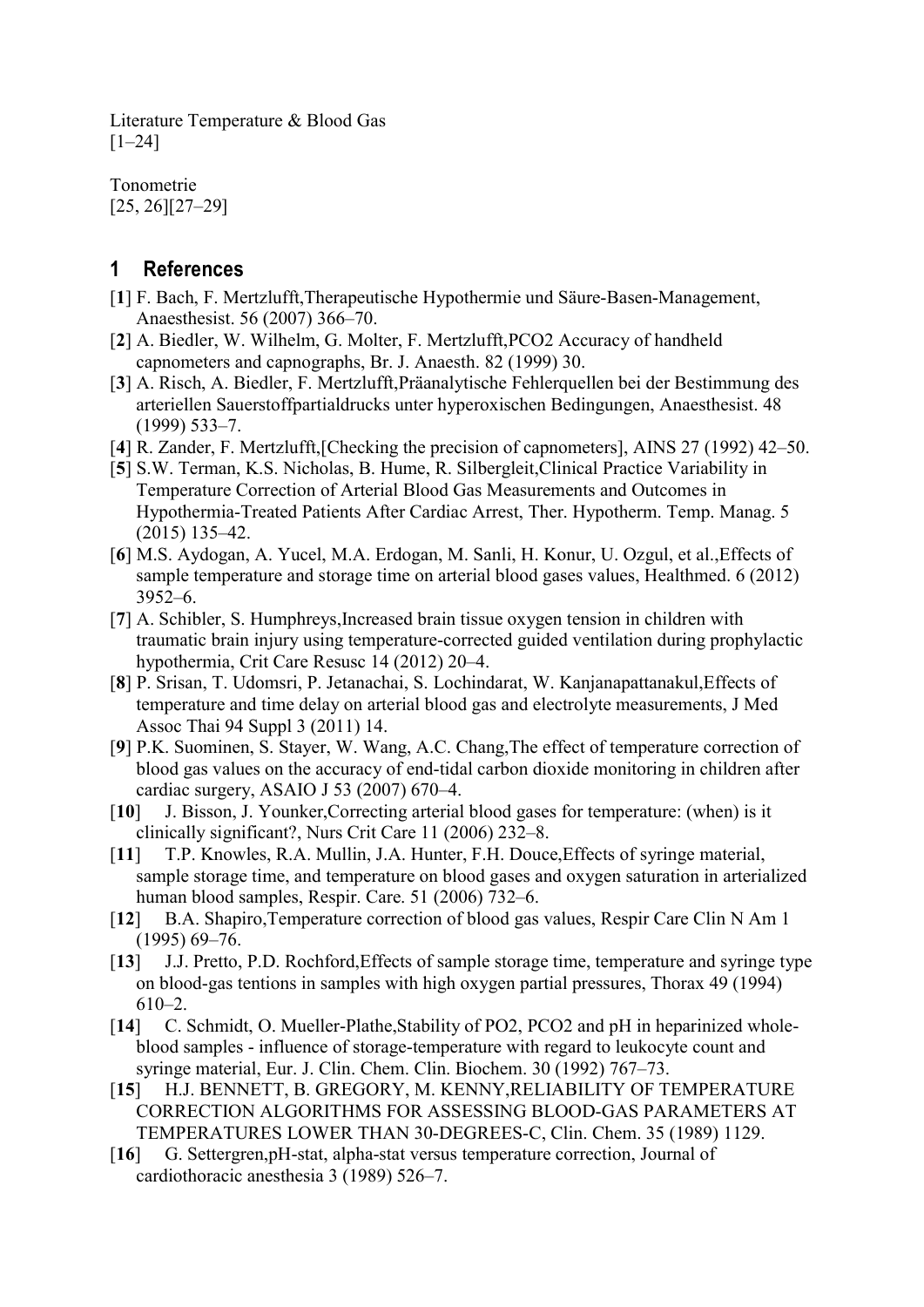Literature Temperature & Blood Gas [1–24]

Tonometrie [25, 26][27–29]

## 1 References

- [1] F. Bach, F. Mertzlufft,Therapeutische Hypothermie und Säure-Basen-Management, Anaesthesist. 56 (2007) 366–70.
- [2] A. Biedler, W. Wilhelm, G. Molter, F. Mertzlufft,PCO2 Accuracy of handheld capnometers and capnographs, Br. J. Anaesth. 82 (1999) 30.
- [3] A. Risch, A. Biedler, F. Mertzlufft,Präanalytische Fehlerquellen bei der Bestimmung des arteriellen Sauerstoffpartialdrucks unter hyperoxischen Bedingungen, Anaesthesist. 48 (1999) 533–7.
- [4] R. Zander, F. Mertzlufft,[Checking the precision of capnometers], AINS 27 (1992) 42–50.
- [5] S.W. Terman, K.S. Nicholas, B. Hume, R. Silbergleit,Clinical Practice Variability in Temperature Correction of Arterial Blood Gas Measurements and Outcomes in Hypothermia-Treated Patients After Cardiac Arrest, Ther. Hypotherm. Temp. Manag. 5 (2015) 135–42.
- [6] M.S. Aydogan, A. Yucel, M.A. Erdogan, M. Sanli, H. Konur, U. Ozgul, et al.,Effects of sample temperature and storage time on arterial blood gases values, Healthmed. 6 (2012) 3952–6.
- [7] A. Schibler, S. Humphreys,Increased brain tissue oxygen tension in children with traumatic brain injury using temperature-corrected guided ventilation during prophylactic hypothermia, Crit Care Resusc 14 (2012) 20–4.
- [8] P. Srisan, T. Udomsri, P. Jetanachai, S. Lochindarat, W. Kanjanapattanakul,Effects of temperature and time delay on arterial blood gas and electrolyte measurements, J Med Assoc Thai 94 Suppl 3 (2011) 14.
- [9] P.K. Suominen, S. Stayer, W. Wang, A.C. Chang,The effect of temperature correction of blood gas values on the accuracy of end-tidal carbon dioxide monitoring in children after cardiac surgery, ASAIO J 53 (2007) 670–4.
- [10] J. Bisson, J. Younker,Correcting arterial blood gases for temperature: (when) is it clinically significant?, Nurs Crit Care 11 (2006) 232–8.
- [11] T.P. Knowles, R.A. Mullin, J.A. Hunter, F.H. Douce, Effects of syringe material, sample storage time, and temperature on blood gases and oxygen saturation in arterialized human blood samples, Respir. Care. 51 (2006) 732–6.
- [12] B.A. Shapiro, Temperature correction of blood gas values, Respir Care Clin N Am 1 (1995) 69–76.
- [13] J.J. Pretto, P.D. Rochford, Effects of sample storage time, temperature and syringe type on blood-gas tentions in samples with high oxygen partial pressures, Thorax 49 (1994) 610–2.
- [14] C. Schmidt, O. Mueller-Plathe, Stability of PO2, PCO2 and pH in heparinized wholeblood samples - influence of storage-temperature with regard to leukocyte count and syringe material, Eur. J. Clin. Chem. Clin. Biochem. 30 (1992) 767–73.
- [15] H.J. BENNETT, B. GREGORY, M. KENNY,RELIABILITY OF TEMPERATURE CORRECTION ALGORITHMS FOR ASSESSING BLOOD-GAS PARAMETERS AT TEMPERATURES LOWER THAN 30-DEGREES-C, Clin. Chem. 35 (1989) 1129.
- [16] G. Settergren,pH-stat, alpha-stat versus temperature correction, Journal of cardiothoracic anesthesia 3 (1989) 526–7.